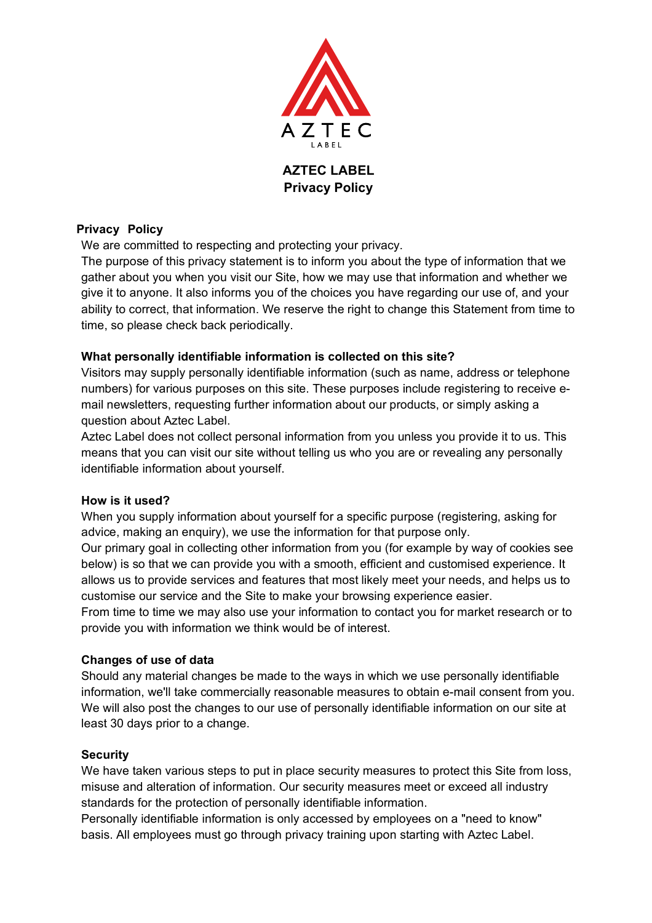

**Privacy Policy**

## **Privacy Policy**

We are committed to respecting and protecting your privacy.

The purpose of this privacy statement is to inform you about the type of information that we gather about you when you visit our Site, how we may use that information and whether we give it to anyone. It also informs you of the choices you have regarding our use of, and your ability to correct, that information. We reserve the right to change this Statement from time to time, so please check back periodically.

## **What personally identifiable information is collected on this site?**

Visitors may supply personally identifiable information (such as name, address or telephone numbers) for various purposes on this site. These purposes include registering to receive email newsletters, requesting further information about our products, or simply asking a question about Aztec Label.

Aztec Label does not collect personal information from you unless you provide it to us. This means that you can visit our site without telling us who you are or revealing any personally identifiable information about yourself.

### **How is it used?**

When you supply information about yourself for a specific purpose (registering, asking for advice, making an enquiry), we use the information for that purpose only.

Our primary goal in collecting other information from you (for example by way of cookies see below) is so that we can provide you with a smooth, efficient and customised experience. It allows us to provide services and features that most likely meet your needs, and helps us to customise our service and the Site to make your browsing experience easier.

From time to time we may also use your information to contact you for market research or to provide you with information we think would be of interest.

### **Changes of use of data**

Should any material changes be made to the ways in which we use personally identifiable information, we'll take commercially reasonable measures to obtain e-mail consent from you. We will also post the changes to our use of personally identifiable information on our site at least 30 days prior to a change.

### **Security**

We have taken various steps to put in place security measures to protect this Site from loss, misuse and alteration of information. Our security measures meet or exceed all industry standards for the protection of personally identifiable information.

Personally identifiable information is only accessed by employees on a "need to know" basis. All employees must go through privacy training upon starting with Aztec Label.